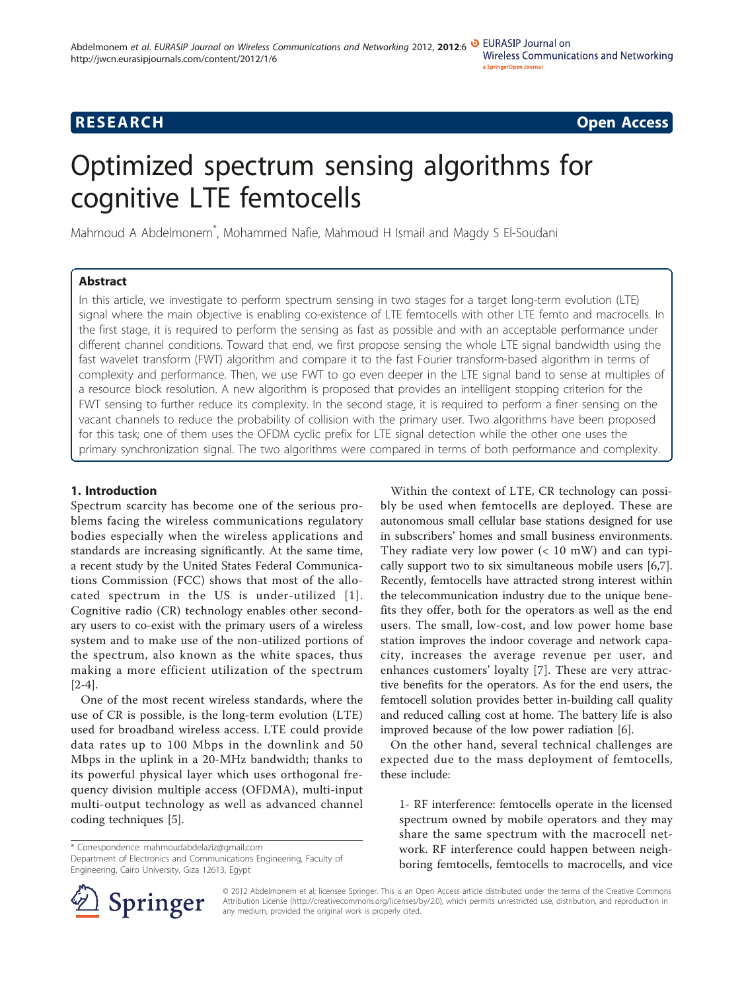# **RESEARCH CONSTRUCTION CONSTRUCTS**

# Optimized spectrum sensing algorithms for cognitive LTE femtocells

Mahmoud A Abdelmonem\* , Mohammed Nafie, Mahmoud H Ismail and Magdy S El-Soudani

# Abstract

In this article, we investigate to perform spectrum sensing in two stages for a target long-term evolution (LTE) signal where the main objective is enabling co-existence of LTE femtocells with other LTE femto and macrocells. In the first stage, it is required to perform the sensing as fast as possible and with an acceptable performance under different channel conditions. Toward that end, we first propose sensing the whole LTE signal bandwidth using the fast wavelet transform (FWT) algorithm and compare it to the fast Fourier transform-based algorithm in terms of complexity and performance. Then, we use FWT to go even deeper in the LTE signal band to sense at multiples of a resource block resolution. A new algorithm is proposed that provides an intelligent stopping criterion for the FWT sensing to further reduce its complexity. In the second stage, it is required to perform a finer sensing on the vacant channels to reduce the probability of collision with the primary user. Two algorithms have been proposed for this task; one of them uses the OFDM cyclic prefix for LTE signal detection while the other one uses the primary synchronization signal. The two algorithms were compared in terms of both performance and complexity.

# 1. Introduction

Spectrum scarcity has become one of the serious problems facing the wireless communications regulatory bodies especially when the wireless applications and standards are increasing significantly. At the same time, a recent study by the United States Federal Communications Commission (FCC) shows that most of the allocated spectrum in the US is under-utilized [[1\]](#page-18-0). Cognitive radio (CR) technology enables other secondary users to co-exist with the primary users of a wireless system and to make use of the non-utilized portions of the spectrum, also known as the white spaces, thus making a more efficient utilization of the spectrum [[2-4](#page-18-0)].

One of the most recent wireless standards, where the use of CR is possible, is the long-term evolution (LTE) used for broadband wireless access. LTE could provide data rates up to 100 Mbps in the downlink and 50 Mbps in the uplink in a 20-MHz bandwidth; thanks to its powerful physical layer which uses orthogonal frequency division multiple access (OFDMA), multi-input multi-output technology as well as advanced channel coding techniques [\[5](#page-18-0)].

\* Correspondence: [mahmoudabdelaziz@gmail.com](mailto:mahmoudabdelaziz@gmail.com)

Department of Electronics and Communications Engineering, Faculty of Engineering, Cairo University, Giza 12613, Egypt

Within the context of LTE, CR technology can possibly be used when femtocells are deployed. These are autonomous small cellular base stations designed for use in subscribers' homes and small business environments. They radiate very low power  $(< 10$  mW) and can typically support two to six simultaneous mobile users [\[6,7](#page-18-0)]. Recently, femtocells have attracted strong interest within the telecommunication industry due to the unique benefits they offer, both for the operators as well as the end users. The small, low-cost, and low power home base station improves the indoor coverage and network capacity, increases the average revenue per user, and enhances customers' loyalty [\[7](#page-18-0)]. These are very attractive benefits for the operators. As for the end users, the femtocell solution provides better in-building call quality and reduced calling cost at home. The battery life is also improved because of the low power radiation [[6](#page-18-0)].

On the other hand, several technical challenges are expected due to the mass deployment of femtocells, these include:

1- RF interference: femtocells operate in the licensed spectrum owned by mobile operators and they may share the same spectrum with the macrocell network. RF interference could happen between neighboring femtocells, femtocells to macrocells, and vice



© 2012 Abdelmonem et al; licensee Springer. This is an Open Access article distributed under the terms of the Creative Commons Attribution License [\(http://creativecommons.org/licenses/by/2.0](http://creativecommons.org/licenses/by/2.0)), which permits unrestricted use, distribution, and reproduction in any medium, provided the original work is properly cited.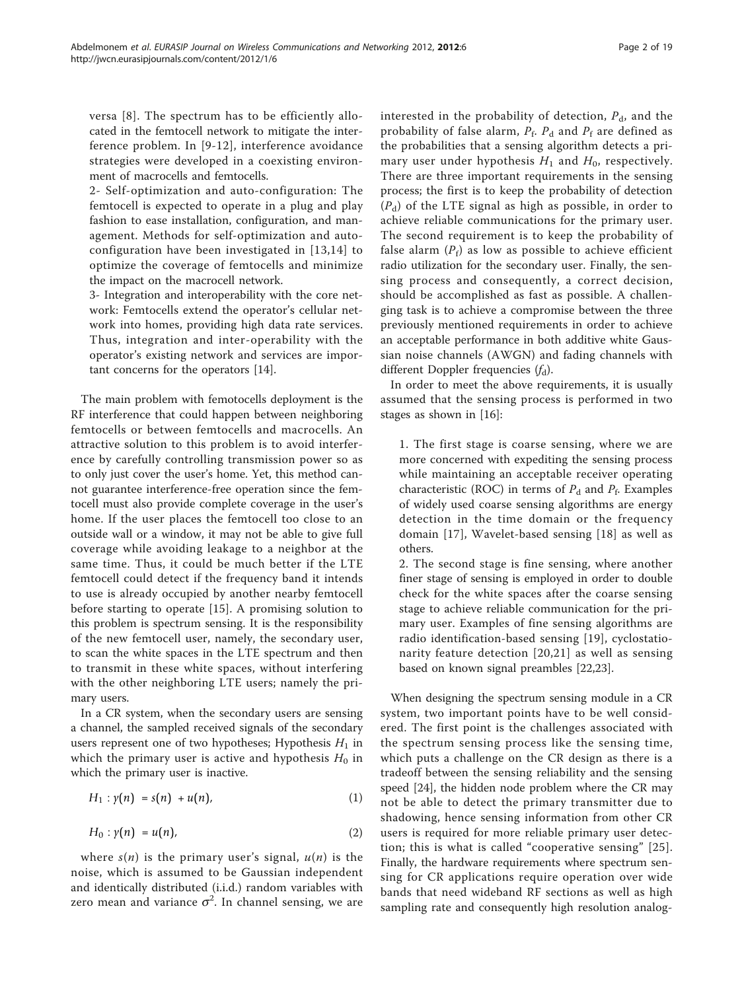versa [[8](#page-18-0)]. The spectrum has to be efficiently allocated in the femtocell network to mitigate the interference problem. In [\[9-12\]](#page-18-0), interference avoidance strategies were developed in a coexisting environment of macrocells and femtocells.

2- Self-optimization and auto-configuration: The femtocell is expected to operate in a plug and play fashion to ease installation, configuration, and management. Methods for self-optimization and autoconfiguration have been investigated in [[13](#page-18-0),[14\]](#page-18-0) to optimize the coverage of femtocells and minimize the impact on the macrocell network.

3- Integration and interoperability with the core network: Femtocells extend the operator's cellular network into homes, providing high data rate services. Thus, integration and inter-operability with the operator's existing network and services are important concerns for the operators [\[14\]](#page-18-0).

The main problem with femotocells deployment is the RF interference that could happen between neighboring femtocells or between femtocells and macrocells. An attractive solution to this problem is to avoid interference by carefully controlling transmission power so as to only just cover the user's home. Yet, this method cannot guarantee interference-free operation since the femtocell must also provide complete coverage in the user's home. If the user places the femtocell too close to an outside wall or a window, it may not be able to give full coverage while avoiding leakage to a neighbor at the same time. Thus, it could be much better if the LTE femtocell could detect if the frequency band it intends to use is already occupied by another nearby femtocell before starting to operate [[15\]](#page-18-0). A promising solution to this problem is spectrum sensing. It is the responsibility of the new femtocell user, namely, the secondary user, to scan the white spaces in the LTE spectrum and then to transmit in these white spaces, without interfering with the other neighboring LTE users; namely the primary users.

In a CR system, when the secondary users are sensing a channel, the sampled received signals of the secondary users represent one of two hypotheses; Hypothesis  $H_1$  in which the primary user is active and hypothesis  $H_0$  in which the primary user is inactive.

$$
H_1: \gamma(n) = s(n) + u(n), \qquad (1)
$$

$$
H_0: \gamma(n) = u(n), \tag{2}
$$

where  $s(n)$  is the primary user's signal,  $u(n)$  is the noise, which is assumed to be Gaussian independent and identically distributed (i.i.d.) random variables with zero mean and variance  $\sigma^2$ . In channel sensing, we are

interested in the probability of detection,  $P_{d}$ , and the probability of false alarm,  $P_f$ .  $P_d$  and  $P_f$  are defined as the probabilities that a sensing algorithm detects a primary user under hypothesis  $H_1$  and  $H_0$ , respectively. There are three important requirements in the sensing process; the first is to keep the probability of detection  $(P_d)$  of the LTE signal as high as possible, in order to achieve reliable communications for the primary user. The second requirement is to keep the probability of false alarm  $(P_f)$  as low as possible to achieve efficient radio utilization for the secondary user. Finally, the sensing process and consequently, a correct decision, should be accomplished as fast as possible. A challenging task is to achieve a compromise between the three previously mentioned requirements in order to achieve an acceptable performance in both additive white Gaussian noise channels (AWGN) and fading channels with different Doppler frequencies  $(f_d)$ .

In order to meet the above requirements, it is usually assumed that the sensing process is performed in two stages as shown in [\[16](#page-18-0)]:

1. The first stage is coarse sensing, where we are more concerned with expediting the sensing process while maintaining an acceptable receiver operating characteristic (ROC) in terms of  $P_d$  and  $P_f$ . Examples of widely used coarse sensing algorithms are energy detection in the time domain or the frequency domain [\[17](#page-18-0)], Wavelet-based sensing [[18](#page-18-0)] as well as others.

2. The second stage is fine sensing, where another finer stage of sensing is employed in order to double check for the white spaces after the coarse sensing stage to achieve reliable communication for the primary user. Examples of fine sensing algorithms are radio identification-based sensing [[19\]](#page-18-0), cyclostationarity feature detection [[20,21\]](#page-18-0) as well as sensing based on known signal preambles [[22](#page-18-0),[23](#page-18-0)].

When designing the spectrum sensing module in a CR system, two important points have to be well considered. The first point is the challenges associated with the spectrum sensing process like the sensing time, which puts a challenge on the CR design as there is a tradeoff between the sensing reliability and the sensing speed [\[24](#page-18-0)], the hidden node problem where the CR may not be able to detect the primary transmitter due to shadowing, hence sensing information from other CR users is required for more reliable primary user detection; this is what is called "cooperative sensing" [[25\]](#page-18-0). Finally, the hardware requirements where spectrum sensing for CR applications require operation over wide bands that need wideband RF sections as well as high sampling rate and consequently high resolution analog-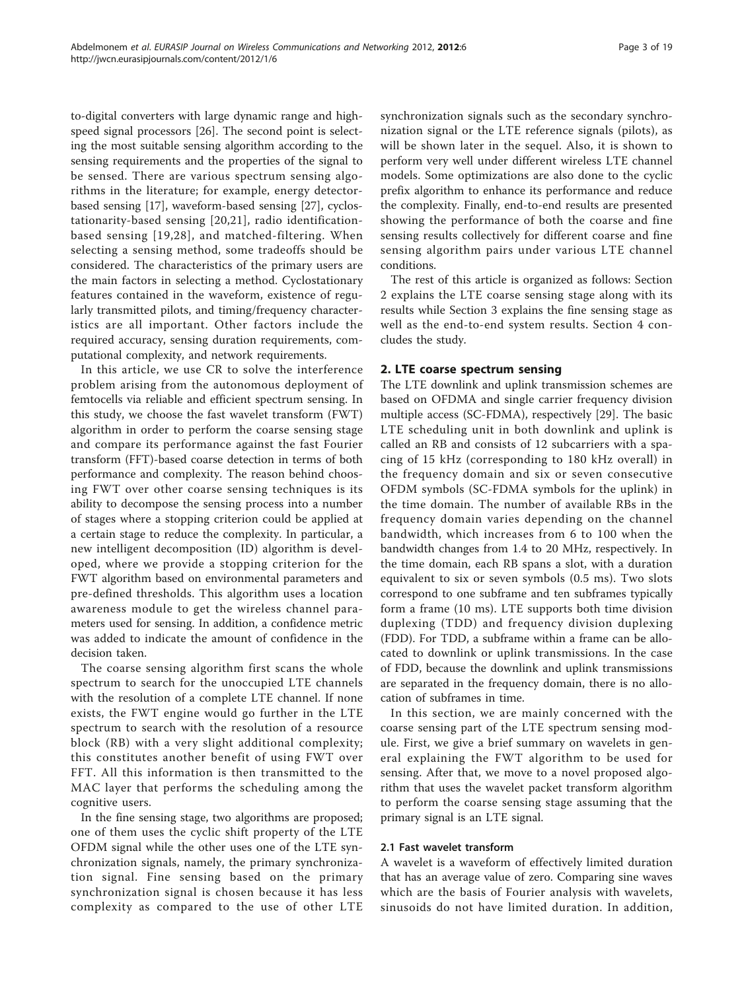to-digital converters with large dynamic range and highspeed signal processors [[26](#page-18-0)]. The second point is selecting the most suitable sensing algorithm according to the sensing requirements and the properties of the signal to be sensed. There are various spectrum sensing algorithms in the literature; for example, energy detectorbased sensing [\[17](#page-18-0)], waveform-based sensing [[27\]](#page-18-0), cyclostationarity-based sensing [[20,21\]](#page-18-0), radio identificationbased sensing [[19,28\]](#page-18-0), and matched-filtering. When selecting a sensing method, some tradeoffs should be considered. The characteristics of the primary users are the main factors in selecting a method. Cyclostationary features contained in the waveform, existence of regularly transmitted pilots, and timing/frequency characteristics are all important. Other factors include the required accuracy, sensing duration requirements, computational complexity, and network requirements.

In this article, we use CR to solve the interference problem arising from the autonomous deployment of femtocells via reliable and efficient spectrum sensing. In this study, we choose the fast wavelet transform (FWT) algorithm in order to perform the coarse sensing stage and compare its performance against the fast Fourier transform (FFT)-based coarse detection in terms of both performance and complexity. The reason behind choosing FWT over other coarse sensing techniques is its ability to decompose the sensing process into a number of stages where a stopping criterion could be applied at a certain stage to reduce the complexity. In particular, a new intelligent decomposition (ID) algorithm is developed, where we provide a stopping criterion for the FWT algorithm based on environmental parameters and pre-defined thresholds. This algorithm uses a location awareness module to get the wireless channel parameters used for sensing. In addition, a confidence metric was added to indicate the amount of confidence in the decision taken.

The coarse sensing algorithm first scans the whole spectrum to search for the unoccupied LTE channels with the resolution of a complete LTE channel. If none exists, the FWT engine would go further in the LTE spectrum to search with the resolution of a resource block (RB) with a very slight additional complexity; this constitutes another benefit of using FWT over FFT. All this information is then transmitted to the MAC layer that performs the scheduling among the cognitive users.

In the fine sensing stage, two algorithms are proposed; one of them uses the cyclic shift property of the LTE OFDM signal while the other uses one of the LTE synchronization signals, namely, the primary synchronization signal. Fine sensing based on the primary synchronization signal is chosen because it has less complexity as compared to the use of other LTE synchronization signals such as the secondary synchronization signal or the LTE reference signals (pilots), as will be shown later in the sequel. Also, it is shown to perform very well under different wireless LTE channel models. Some optimizations are also done to the cyclic prefix algorithm to enhance its performance and reduce the complexity. Finally, end-to-end results are presented showing the performance of both the coarse and fine sensing results collectively for different coarse and fine sensing algorithm pairs under various LTE channel conditions.

The rest of this article is organized as follows: Section 2 explains the LTE coarse sensing stage along with its results while Section 3 explains the fine sensing stage as well as the end-to-end system results. Section 4 concludes the study.

# 2. LTE coarse spectrum sensing

The LTE downlink and uplink transmission schemes are based on OFDMA and single carrier frequency division multiple access (SC-FDMA), respectively [\[29\]](#page-18-0). The basic LTE scheduling unit in both downlink and uplink is called an RB and consists of 12 subcarriers with a spacing of 15 kHz (corresponding to 180 kHz overall) in the frequency domain and six or seven consecutive OFDM symbols (SC-FDMA symbols for the uplink) in the time domain. The number of available RBs in the frequency domain varies depending on the channel bandwidth, which increases from 6 to 100 when the bandwidth changes from 1.4 to 20 MHz, respectively. In the time domain, each RB spans a slot, with a duration equivalent to six or seven symbols (0.5 ms). Two slots correspond to one subframe and ten subframes typically form a frame (10 ms). LTE supports both time division duplexing (TDD) and frequency division duplexing (FDD). For TDD, a subframe within a frame can be allocated to downlink or uplink transmissions. In the case of FDD, because the downlink and uplink transmissions are separated in the frequency domain, there is no allocation of subframes in time.

In this section, we are mainly concerned with the coarse sensing part of the LTE spectrum sensing module. First, we give a brief summary on wavelets in general explaining the FWT algorithm to be used for sensing. After that, we move to a novel proposed algorithm that uses the wavelet packet transform algorithm to perform the coarse sensing stage assuming that the primary signal is an LTE signal.

### 2.1 Fast wavelet transform

A wavelet is a waveform of effectively limited duration that has an average value of zero. Comparing sine waves which are the basis of Fourier analysis with wavelets, sinusoids do not have limited duration. In addition,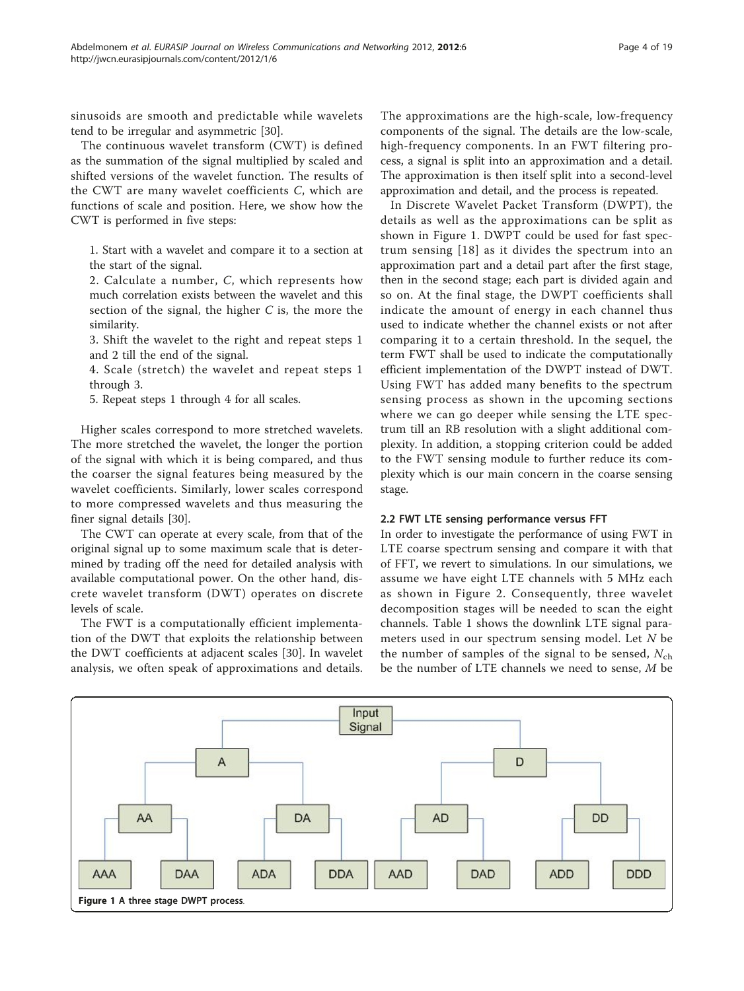sinusoids are smooth and predictable while wavelets tend to be irregular and asymmetric [[30](#page-18-0)].

The continuous wavelet transform (CWT) is defined as the summation of the signal multiplied by scaled and shifted versions of the wavelet function. The results of the CWT are many wavelet coefficients C, which are functions of scale and position. Here, we show how the CWT is performed in five steps:

1. Start with a wavelet and compare it to a section at the start of the signal.

2. Calculate a number, C, which represents how much correlation exists between the wavelet and this section of the signal, the higher  $C$  is, the more the similarity.

3. Shift the wavelet to the right and repeat steps 1 and 2 till the end of the signal.

4. Scale (stretch) the wavelet and repeat steps 1 through 3.

5. Repeat steps 1 through 4 for all scales.

Higher scales correspond to more stretched wavelets. The more stretched the wavelet, the longer the portion of the signal with which it is being compared, and thus the coarser the signal features being measured by the wavelet coefficients. Similarly, lower scales correspond to more compressed wavelets and thus measuring the finer signal details [[30](#page-18-0)].

The CWT can operate at every scale, from that of the original signal up to some maximum scale that is determined by trading off the need for detailed analysis with available computational power. On the other hand, discrete wavelet transform (DWT) operates on discrete levels of scale.

The FWT is a computationally efficient implementation of the DWT that exploits the relationship between the DWT coefficients at adjacent scales [[30](#page-18-0)]. In wavelet analysis, we often speak of approximations and details.

The approximations are the high-scale, low-frequency components of the signal. The details are the low-scale, high-frequency components. In an FWT filtering process, a signal is split into an approximation and a detail. The approximation is then itself split into a second-level approximation and detail, and the process is repeated.

In Discrete Wavelet Packet Transform (DWPT), the details as well as the approximations can be split as shown in Figure 1. DWPT could be used for fast spectrum sensing [[18](#page-18-0)] as it divides the spectrum into an approximation part and a detail part after the first stage, then in the second stage; each part is divided again and so on. At the final stage, the DWPT coefficients shall indicate the amount of energy in each channel thus used to indicate whether the channel exists or not after comparing it to a certain threshold. In the sequel, the term FWT shall be used to indicate the computationally efficient implementation of the DWPT instead of DWT. Using FWT has added many benefits to the spectrum sensing process as shown in the upcoming sections where we can go deeper while sensing the LTE spectrum till an RB resolution with a slight additional complexity. In addition, a stopping criterion could be added to the FWT sensing module to further reduce its complexity which is our main concern in the coarse sensing stage.

### 2.2 FWT LTE sensing performance versus FFT

In order to investigate the performance of using FWT in LTE coarse spectrum sensing and compare it with that of FFT, we revert to simulations. In our simulations, we assume we have eight LTE channels with 5 MHz each as shown in Figure [2.](#page-4-0) Consequently, three wavelet decomposition stages will be needed to scan the eight channels. Table [1](#page-4-0) shows the downlink LTE signal parameters used in our spectrum sensing model. Let N be the number of samples of the signal to be sensed,  $N_{ch}$ be the number of LTE channels we need to sense, M be

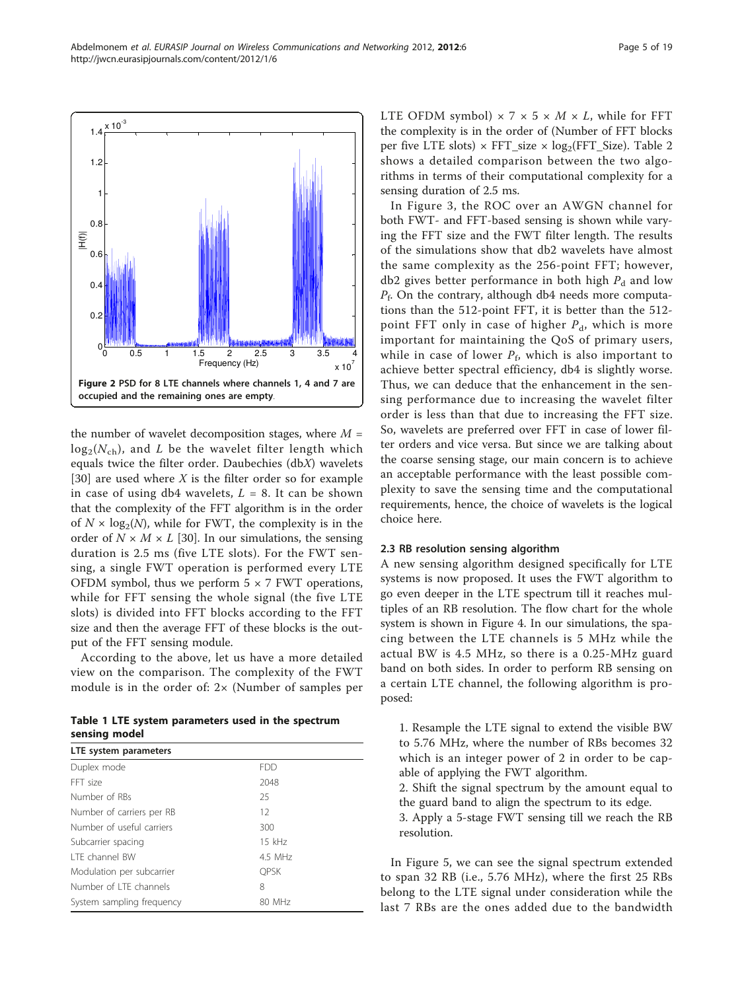<span id="page-4-0"></span>

the number of wavelet decomposition stages, where  $M =$  $log_2(N_{ch})$ , and L be the wavelet filter length which equals twice the filter order. Daubechies (dbX) wavelets [[30\]](#page-18-0) are used where  $X$  is the filter order so for example in case of using db4 wavelets,  $L = 8$ . It can be shown that the complexity of the FFT algorithm is in the order of  $N \times log_2(N)$ , while for FWT, the complexity is in the order of  $N \times M \times L$  [\[30\]](#page-18-0). In our simulations, the sensing duration is 2.5 ms (five LTE slots). For the FWT sensing, a single FWT operation is performed every LTE OFDM symbol, thus we perform  $5 \times 7$  FWT operations, while for FFT sensing the whole signal (the five LTE slots) is divided into FFT blocks according to the FFT size and then the average FFT of these blocks is the output of the FFT sensing module.

According to the above, let us have a more detailed view on the comparison. The complexity of the FWT module is in the order of: 2× (Number of samples per

|               |  | Table 1 LTE system parameters used in the spectrum |  |  |
|---------------|--|----------------------------------------------------|--|--|
| sensing model |  |                                                    |  |  |

| LTE system parameters     |             |
|---------------------------|-------------|
| Duplex mode               | <b>FDD</b>  |
| FFT size                  | 2048        |
| Number of RBs             | 25          |
| Number of carriers per RB | 12          |
| Number of useful carriers | 300         |
| Subcarrier spacing        | 15 kHz      |
| <b>I TF</b> channel BW    | 45 MHz      |
| Modulation per subcarrier | <b>OPSK</b> |
| Number of LTF channels    | 8           |
| System sampling frequency | 80 MHz      |

LTE OFDM symbol)  $\times$  7  $\times$  5  $\times$  *M*  $\times$  *L*, while for FFT the complexity is in the order of (Number of FFT blocks per five LTE slots)  $\times$  FFT\_size  $\times$  log<sub>2</sub>(FFT\_Size). Table [2](#page-5-0) shows a detailed comparison between the two algorithms in terms of their computational complexity for a sensing duration of 2.5 ms.

In Figure [3](#page-5-0), the ROC over an AWGN channel for both FWT- and FFT-based sensing is shown while varying the FFT size and the FWT filter length. The results of the simulations show that db2 wavelets have almost the same complexity as the 256-point FFT; however, db2 gives better performance in both high  $P_d$  and low  $P_f$ . On the contrary, although db4 needs more computations than the 512-point FFT, it is better than the 512 point FFT only in case of higher  $P_d$ , which is more important for maintaining the QoS of primary users, while in case of lower  $P_f$ , which is also important to achieve better spectral efficiency, db4 is slightly worse. Thus, we can deduce that the enhancement in the sensing performance due to increasing the wavelet filter order is less than that due to increasing the FFT size. So, wavelets are preferred over FFT in case of lower filter orders and vice versa. But since we are talking about the coarse sensing stage, our main concern is to achieve an acceptable performance with the least possible complexity to save the sensing time and the computational requirements, hence, the choice of wavelets is the logical choice here.

### 2.3 RB resolution sensing algorithm

A new sensing algorithm designed specifically for LTE systems is now proposed. It uses the FWT algorithm to go even deeper in the LTE spectrum till it reaches multiples of an RB resolution. The flow chart for the whole system is shown in Figure [4](#page-6-0). In our simulations, the spacing between the LTE channels is 5 MHz while the actual BW is 4.5 MHz, so there is a 0.25-MHz guard band on both sides. In order to perform RB sensing on a certain LTE channel, the following algorithm is proposed:

1. Resample the LTE signal to extend the visible BW to 5.76 MHz, where the number of RBs becomes 32 which is an integer power of 2 in order to be capable of applying the FWT algorithm.

2. Shift the signal spectrum by the amount equal to the guard band to align the spectrum to its edge.

3. Apply a 5-stage FWT sensing till we reach the RB resolution.

In Figure [5,](#page-7-0) we can see the signal spectrum extended to span 32 RB (i.e., 5.76 MHz), where the first 25 RBs belong to the LTE signal under consideration while the last 7 RBs are the ones added due to the bandwidth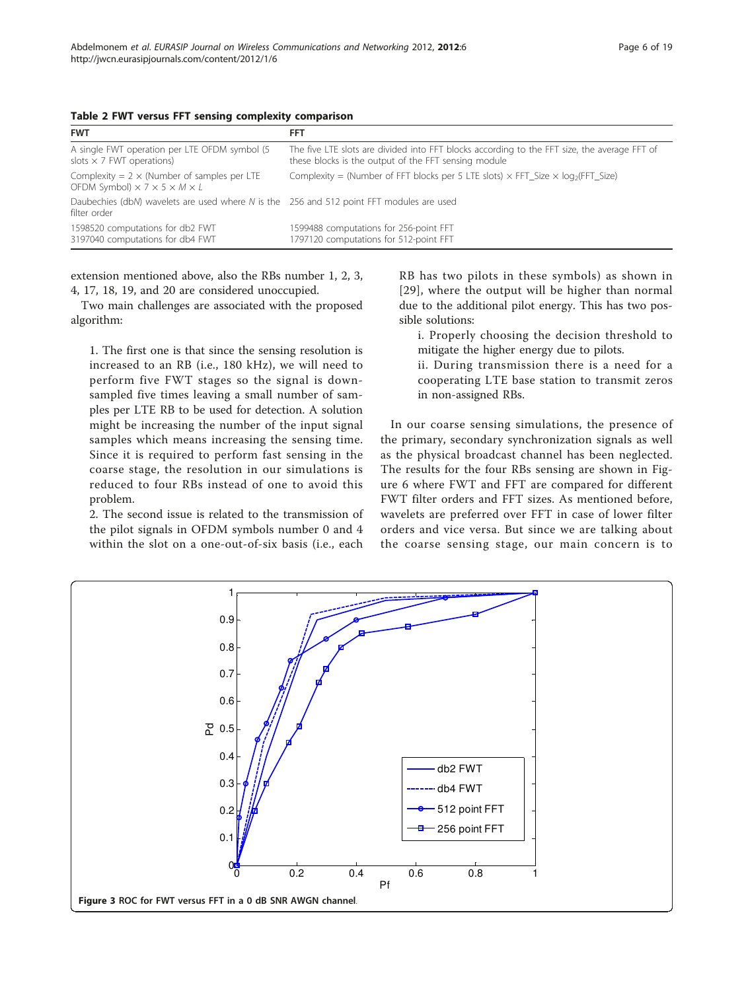| <b>FWT</b>                                                                                                     | FFT.                                                                                                                                                 |
|----------------------------------------------------------------------------------------------------------------|------------------------------------------------------------------------------------------------------------------------------------------------------|
| A single FWT operation per LTE OFDM symbol (5<br>slots $\times$ 7 FWT operations)                              | The five LTE slots are divided into FFT blocks according to the FFT size, the average FFT of<br>these blocks is the output of the FFT sensing module |
| Complexity = $2 \times$ (Number of samples per LTE<br>OFDM Symbol) $\times$ 7 $\times$ 5 $\times$ M $\times$ L | Complexity = (Number of FFT blocks per 5 LTE slots) $\times$ FFT Size $\times$ log <sub>2</sub> (FFT Size)                                           |
| Daubechies (dbM) wavelets are used where N is the 256 and 512 point FFT modules are used<br>filter order       |                                                                                                                                                      |
| 1598520 computations for db2 FWT<br>3197040 computations for db4 FWT                                           | 1599488 computations for 256-point FFT<br>1797120 computations for 512-point FFT                                                                     |

<span id="page-5-0"></span>

|  |  |  |  |  |  |  | Table 2 FWT versus FFT sensing complexity comparison |
|--|--|--|--|--|--|--|------------------------------------------------------|
|--|--|--|--|--|--|--|------------------------------------------------------|

extension mentioned above, also the RBs number 1, 2, 3, 4, 17, 18, 19, and 20 are considered unoccupied.

Two main challenges are associated with the proposed algorithm:

1. The first one is that since the sensing resolution is increased to an RB (i.e., 180 kHz), we will need to perform five FWT stages so the signal is downsampled five times leaving a small number of samples per LTE RB to be used for detection. A solution might be increasing the number of the input signal samples which means increasing the sensing time. Since it is required to perform fast sensing in the coarse stage, the resolution in our simulations is reduced to four RBs instead of one to avoid this problem.

2. The second issue is related to the transmission of the pilot signals in OFDM symbols number 0 and 4 within the slot on a one-out-of-six basis (i.e., each RB has two pilots in these symbols) as shown in [[29](#page-18-0)], where the output will be higher than normal due to the additional pilot energy. This has two possible solutions:

i. Properly choosing the decision threshold to mitigate the higher energy due to pilots.

ii. During transmission there is a need for a cooperating LTE base station to transmit zeros in non-assigned RBs.

In our coarse sensing simulations, the presence of the primary, secondary synchronization signals as well as the physical broadcast channel has been neglected. The results for the four RBs sensing are shown in Figure [6](#page-7-0) where FWT and FFT are compared for different FWT filter orders and FFT sizes. As mentioned before, wavelets are preferred over FFT in case of lower filter orders and vice versa. But since we are talking about the coarse sensing stage, our main concern is to

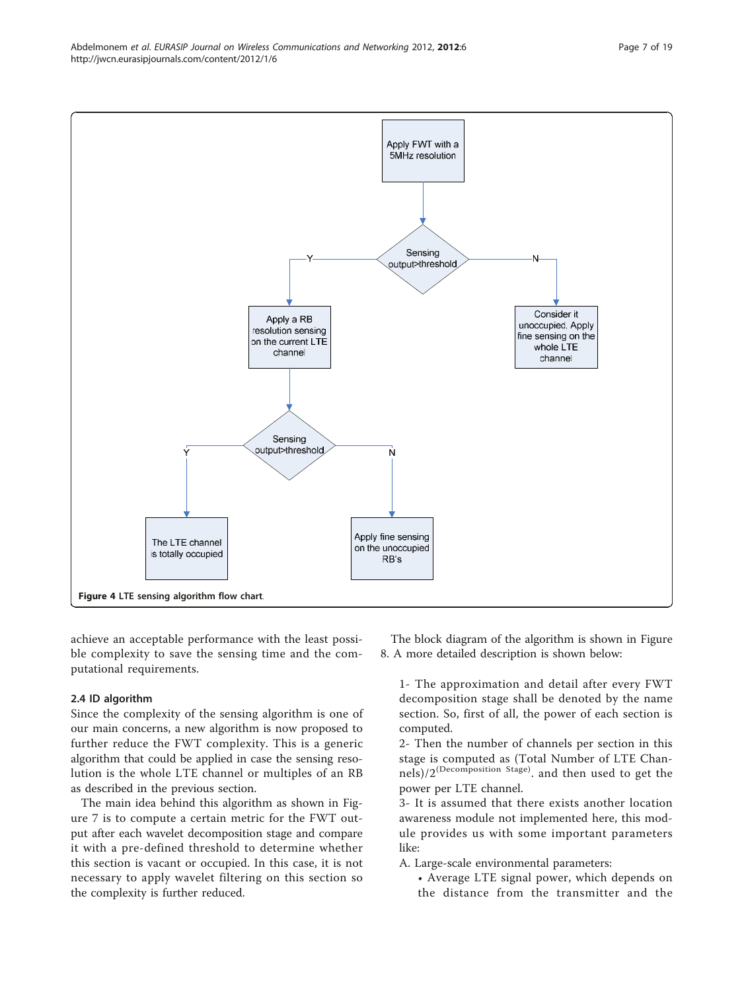achieve an acceptable performance with the least possible complexity to save the sensing time and the computational requirements.

### 2.4 ID algorithm

Since the complexity of the sensing algorithm is one of our main concerns, a new algorithm is now proposed to further reduce the FWT complexity. This is a generic algorithm that could be applied in case the sensing resolution is the whole LTE channel or multiples of an RB as described in the previous section.

The main idea behind this algorithm as shown in Figure [7](#page-8-0) is to compute a certain metric for the FWT output after each wavelet decomposition stage and compare it with a pre-defined threshold to determine whether this section is vacant or occupied. In this case, it is not necessary to apply wavelet filtering on this section so the complexity is further reduced.

The block diagram of the algorithm is shown in Figure [8.](#page-8-0) A more detailed description is shown below:

1- The approximation and detail after every FWT decomposition stage shall be denoted by the name section. So, first of all, the power of each section is computed.

2- Then the number of channels per section in this stage is computed as (Total Number of LTE Channels)/2(Decomposition Stage). and then used to get the power per LTE channel.

3- It is assumed that there exists another location awareness module not implemented here, this module provides us with some important parameters like:

A. Large-scale environmental parameters:

• Average LTE signal power, which depends on the distance from the transmitter and the

<span id="page-6-0"></span>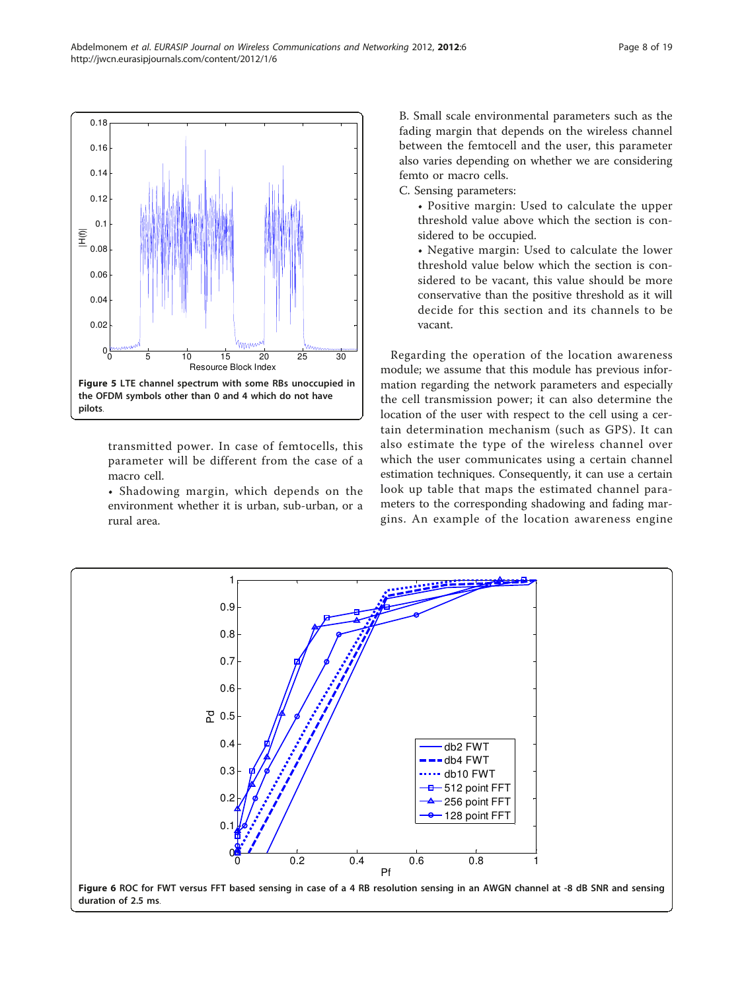<span id="page-7-0"></span>

transmitted power. In case of femtocells, this parameter will be different from the case of a macro cell.

• Shadowing margin, which depends on the environment whether it is urban, sub-urban, or a rural area.

B. Small scale environmental parameters such as the fading margin that depends on the wireless channel between the femtocell and the user, this parameter also varies depending on whether we are considering femto or macro cells.

C. Sensing parameters:

• Positive margin: Used to calculate the upper threshold value above which the section is considered to be occupied.

• Negative margin: Used to calculate the lower threshold value below which the section is considered to be vacant, this value should be more conservative than the positive threshold as it will decide for this section and its channels to be vacant.

Regarding the operation of the location awareness module; we assume that this module has previous information regarding the network parameters and especially the cell transmission power; it can also determine the location of the user with respect to the cell using a certain determination mechanism (such as GPS). It can also estimate the type of the wireless channel over which the user communicates using a certain channel estimation techniques. Consequently, it can use a certain look up table that maps the estimated channel parameters to the corresponding shadowing and fading margins. An example of the location awareness engine

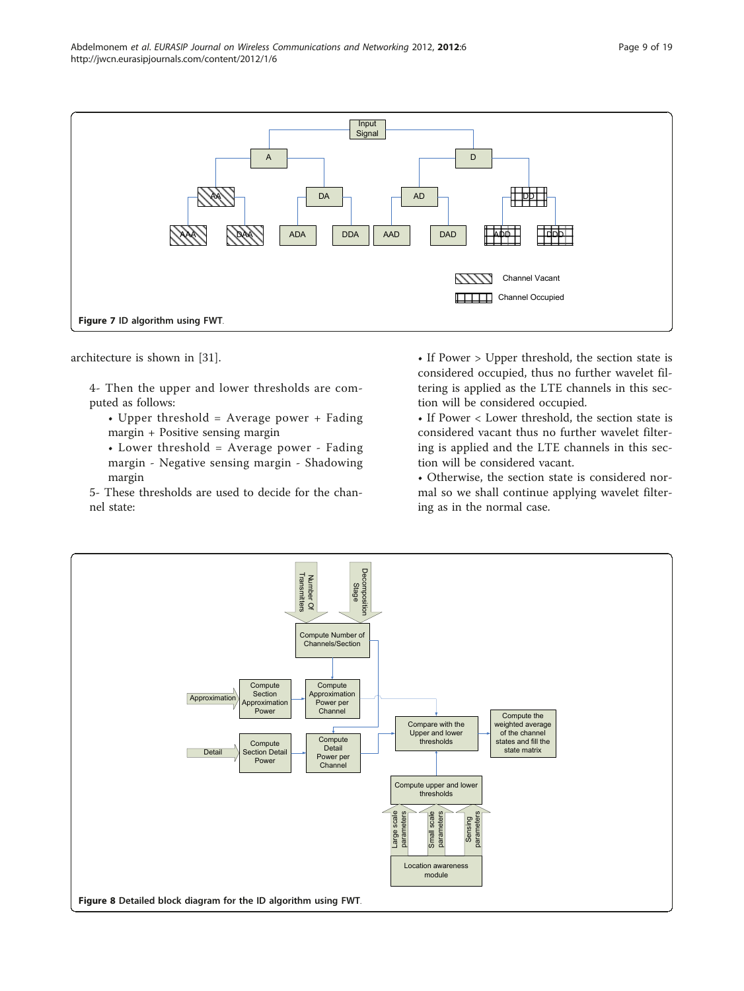<span id="page-8-0"></span>

architecture is shown in [\[31\]](#page-18-0).

4- Then the upper and lower thresholds are computed as follows:

• Upper threshold = Average power + Fading margin + Positive sensing margin

• Lower threshold = Average power - Fading margin - Negative sensing margin - Shadowing margin

5- These thresholds are used to decide for the channel state:

• If Power > Upper threshold, the section state is considered occupied, thus no further wavelet filtering is applied as the LTE channels in this section will be considered occupied.

• If Power < Lower threshold, the section state is considered vacant thus no further wavelet filtering is applied and the LTE channels in this section will be considered vacant.

• Otherwise, the section state is considered normal so we shall continue applying wavelet filtering as in the normal case.

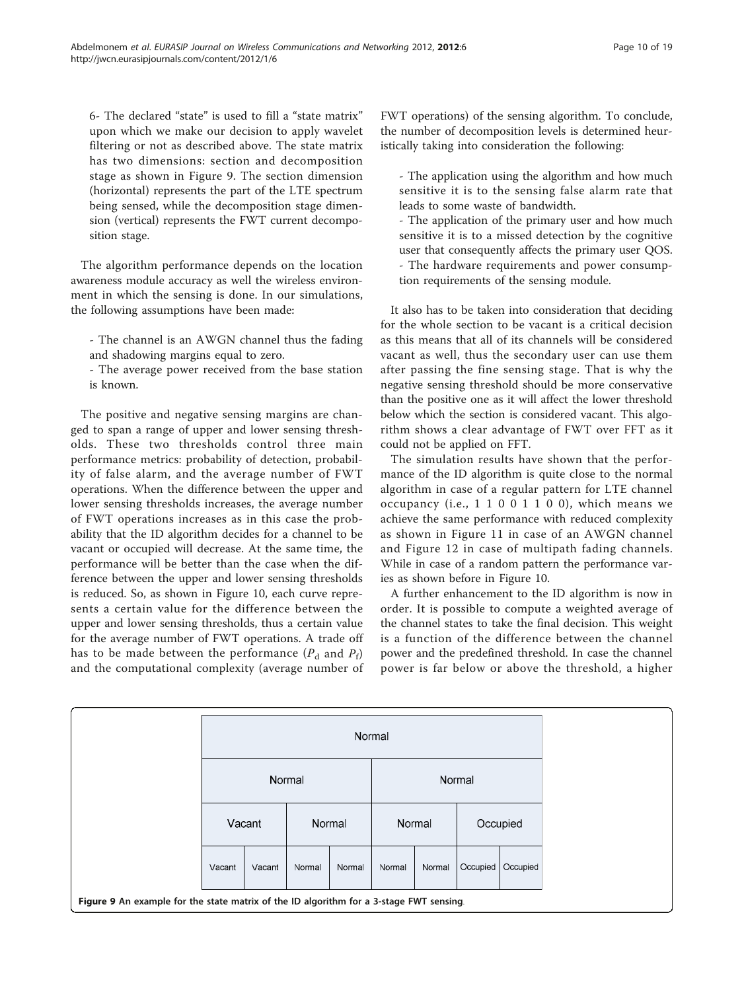6- The declared "state" is used to fill a "state matrix" upon which we make our decision to apply wavelet filtering or not as described above. The state matrix has two dimensions: section and decomposition stage as shown in Figure 9. The section dimension (horizontal) represents the part of the LTE spectrum being sensed, while the decomposition stage dimension (vertical) represents the FWT current decomposition stage.

The algorithm performance depends on the location awareness module accuracy as well the wireless environment in which the sensing is done. In our simulations, the following assumptions have been made:

- The channel is an AWGN channel thus the fading and shadowing margins equal to zero.
- The average power received from the base station is known.

The positive and negative sensing margins are changed to span a range of upper and lower sensing thresholds. These two thresholds control three main performance metrics: probability of detection, probability of false alarm, and the average number of FWT operations. When the difference between the upper and lower sensing thresholds increases, the average number of FWT operations increases as in this case the probability that the ID algorithm decides for a channel to be vacant or occupied will decrease. At the same time, the performance will be better than the case when the difference between the upper and lower sensing thresholds is reduced. So, as shown in Figure [10](#page-10-0), each curve represents a certain value for the difference between the upper and lower sensing thresholds, thus a certain value for the average number of FWT operations. A trade off has to be made between the performance  $(P_d$  and  $P_f$ ) and the computational complexity (average number of FWT operations) of the sensing algorithm. To conclude, the number of decomposition levels is determined heuristically taking into consideration the following:

- The application using the algorithm and how much sensitive it is to the sensing false alarm rate that leads to some waste of bandwidth.

- The application of the primary user and how much sensitive it is to a missed detection by the cognitive user that consequently affects the primary user QOS. - The hardware requirements and power consumption requirements of the sensing module.

It also has to be taken into consideration that deciding for the whole section to be vacant is a critical decision as this means that all of its channels will be considered vacant as well, thus the secondary user can use them after passing the fine sensing stage. That is why the negative sensing threshold should be more conservative than the positive one as it will affect the lower threshold below which the section is considered vacant. This algorithm shows a clear advantage of FWT over FFT as it could not be applied on FFT.

The simulation results have shown that the performance of the ID algorithm is quite close to the normal algorithm in case of a regular pattern for LTE channel occupancy (i.e.,  $1\ 1\ 0\ 0\ 1\ 1\ 0\ 0$ ), which means we achieve the same performance with reduced complexity as shown in Figure [11](#page-10-0) in case of an AWGN channel and Figure [12](#page-11-0) in case of multipath fading channels. While in case of a random pattern the performance varies as shown before in Figure [10](#page-10-0).

A further enhancement to the ID algorithm is now in order. It is possible to compute a weighted average of the channel states to take the final decision. This weight is a function of the difference between the channel power and the predefined threshold. In case the channel power is far below or above the threshold, a higher

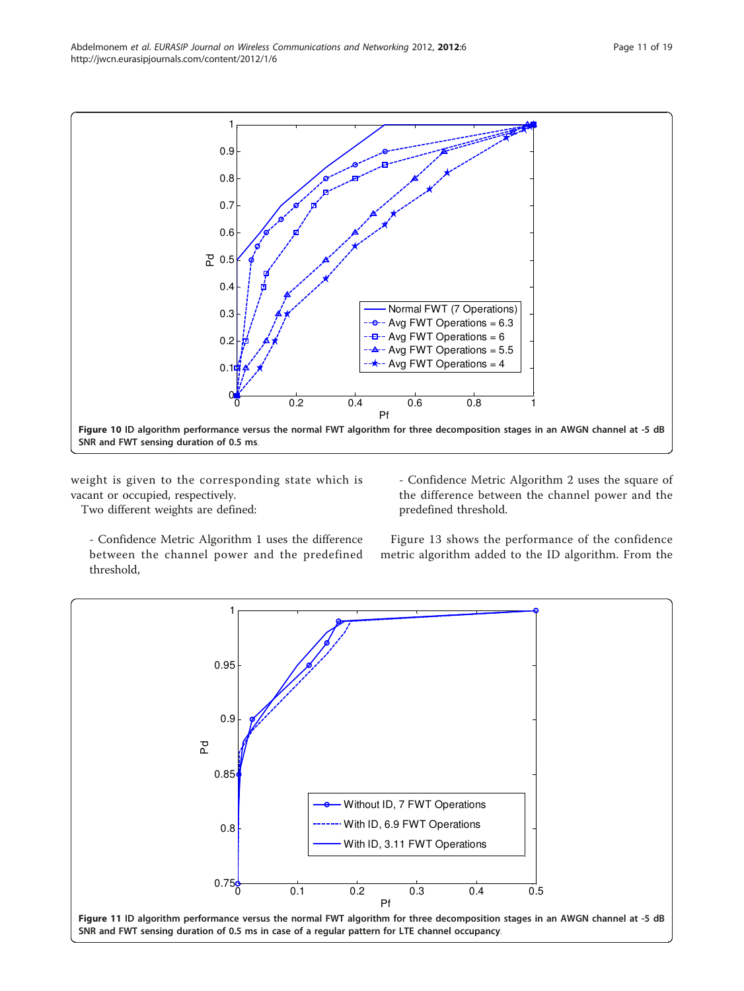weight is given to the corresponding state which is vacant or occupied, respectively.

Two different weights are defined:

- Confidence Metric Algorithm 1 uses the difference between the channel power and the predefined threshold,

Figure [13](#page-11-0) shows the performance of the confidence metric algorithm added to the ID algorithm. From the

predefined threshold.

- Confidence Metric Algorithm 2 uses the square of the difference between the channel power and the

<span id="page-10-0"></span>



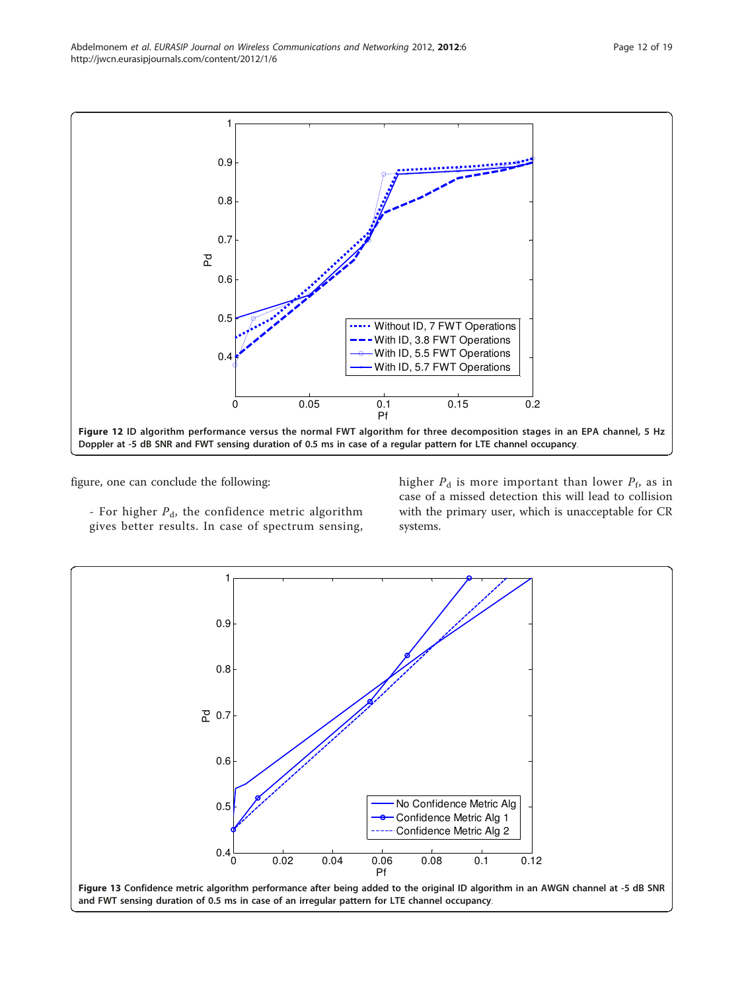<span id="page-11-0"></span>Abdelmonem et al. EURASIP Journal on Wireless Communications and Networking 2012, 2012:6 http://jwcn.eurasipjournals.com/content/2012/1/6



figure, one can conclude the following:

- For higher  $P_d$ , the confidence metric algorithm gives better results. In case of spectrum sensing, higher  $P_d$  is more important than lower  $P_f$ , as in case of a missed detection this will lead to collision with the primary user, which is unacceptable for CR systems.

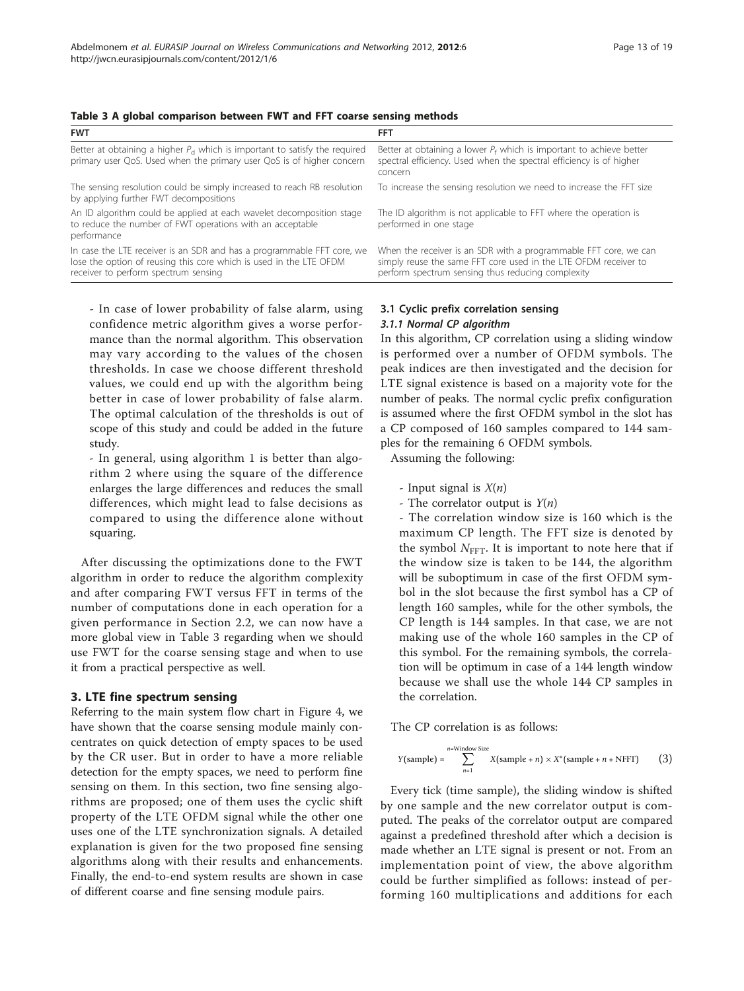|  |  | Table 3 A global comparison between FWT and FFT coarse sensing methods |  |  |  |  |  |  |  |
|--|--|------------------------------------------------------------------------|--|--|--|--|--|--|--|
|--|--|------------------------------------------------------------------------|--|--|--|--|--|--|--|

| <b>FWT</b>                                                                                                                                                                           | <b>FFT</b>                                                                                                                                                                               |
|--------------------------------------------------------------------------------------------------------------------------------------------------------------------------------------|------------------------------------------------------------------------------------------------------------------------------------------------------------------------------------------|
| Better at obtaining a higher $P_d$ which is important to satisfy the required<br>primary user QoS. Used when the primary user QoS is of higher concern                               | Better at obtaining a lower $P_f$ which is important to achieve better<br>spectral efficiency. Used when the spectral efficiency is of higher<br>concern                                 |
| The sensing resolution could be simply increased to reach RB resolution<br>by applying further FWT decompositions                                                                    | To increase the sensing resolution we need to increase the FFT size                                                                                                                      |
| An ID algorithm could be applied at each wavelet decomposition stage<br>to reduce the number of FWT operations with an acceptable<br>performance                                     | The ID algorithm is not applicable to FFT where the operation is<br>performed in one stage                                                                                               |
| In case the LTE receiver is an SDR and has a programmable FFT core, we<br>lose the option of reusing this core which is used in the LTE OFDM<br>receiver to perform spectrum sensing | When the receiver is an SDR with a programmable FFT core, we can<br>simply reuse the same FFT core used in the LTE OFDM receiver to<br>perform spectrum sensing thus reducing complexity |
|                                                                                                                                                                                      |                                                                                                                                                                                          |

- In case of lower probability of false alarm, using confidence metric algorithm gives a worse performance than the normal algorithm. This observation may vary according to the values of the chosen thresholds. In case we choose different threshold values, we could end up with the algorithm being better in case of lower probability of false alarm. The optimal calculation of the thresholds is out of scope of this study and could be added in the future study.

- In general, using algorithm 1 is better than algorithm 2 where using the square of the difference enlarges the large differences and reduces the small differences, which might lead to false decisions as compared to using the difference alone without squaring.

After discussing the optimizations done to the FWT algorithm in order to reduce the algorithm complexity and after comparing FWT versus FFT in terms of the number of computations done in each operation for a given performance in Section 2.2, we can now have a more global view in Table 3 regarding when we should use FWT for the coarse sensing stage and when to use it from a practical perspective as well.

# 3. LTE fine spectrum sensing

Referring to the main system flow chart in Figure [4,](#page-6-0) we have shown that the coarse sensing module mainly concentrates on quick detection of empty spaces to be used by the CR user. But in order to have a more reliable detection for the empty spaces, we need to perform fine sensing on them. In this section, two fine sensing algorithms are proposed; one of them uses the cyclic shift property of the LTE OFDM signal while the other one uses one of the LTE synchronization signals. A detailed explanation is given for the two proposed fine sensing algorithms along with their results and enhancements. Finally, the end-to-end system results are shown in case of different coarse and fine sensing module pairs.

# 3.1 Cyclic prefix correlation sensing 3.1.1 Normal CP algorithm

In this algorithm, CP correlation using a sliding window is performed over a number of OFDM symbols. The peak indices are then investigated and the decision for LTE signal existence is based on a majority vote for the number of peaks. The normal cyclic prefix configuration is assumed where the first OFDM symbol in the slot has a CP composed of 160 samples compared to 144 samples for the remaining 6 OFDM symbols.

Assuming the following:

- Input signal is  $X(n)$
- The correlator output is  $Y(n)$

- The correlation window size is 160 which is the maximum CP length. The FFT size is denoted by the symbol  $N<sub>FFT</sub>$ . It is important to note here that if the window size is taken to be 144, the algorithm will be suboptimum in case of the first OFDM symbol in the slot because the first symbol has a CP of length 160 samples, while for the other symbols, the CP length is 144 samples. In that case, we are not making use of the whole 160 samples in the CP of this symbol. For the remaining symbols, the correlation will be optimum in case of a 144 length window because we shall use the whole 144 CP samples in the correlation.

The CP correlation is as follows:

$$
Y(\text{sample}) = \sum_{n=1}^{n=\text{Window Size}} X(\text{sample} + n) \times X^*(\text{sample} + n + \text{NFFT}) \tag{3}
$$

Every tick (time sample), the sliding window is shifted by one sample and the new correlator output is computed. The peaks of the correlator output are compared against a predefined threshold after which a decision is made whether an LTE signal is present or not. From an implementation point of view, the above algorithm could be further simplified as follows: instead of performing 160 multiplications and additions for each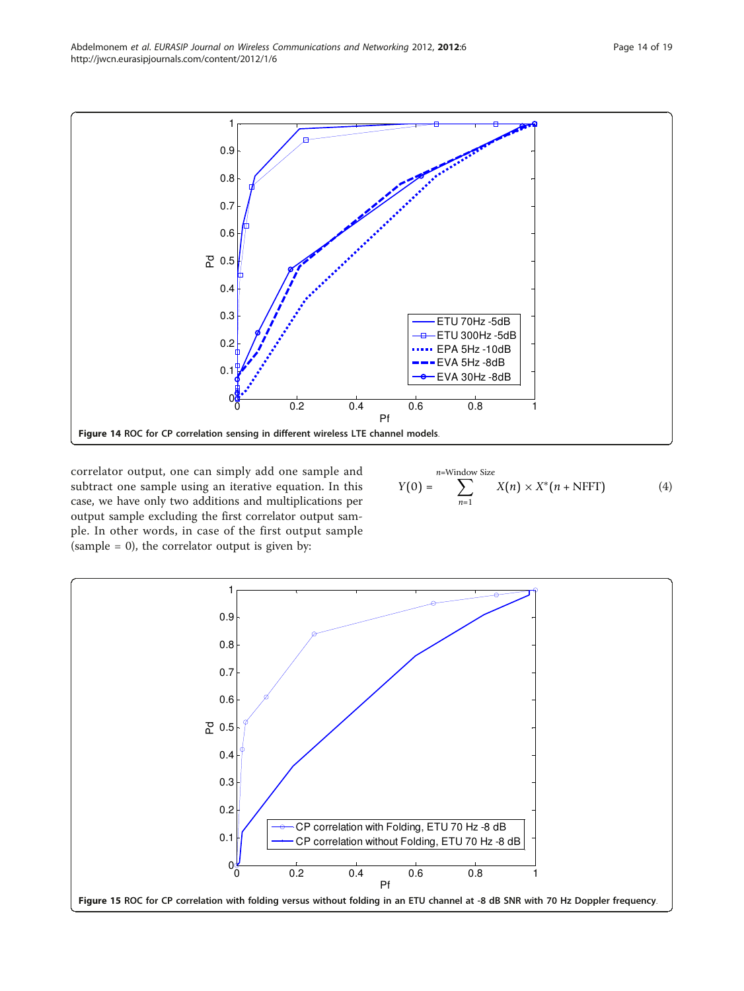<span id="page-13-0"></span>

correlator output, one can simply add one sample and subtract one sample using an iterative equation. In this case, we have only two additions and multiplications per output sample excluding the first correlator output sample. In other words, in case of the first output sample (sample  $= 0$ ), the correlator output is given by:

$$
Y(0) = \sum_{n=1}^{n=\text{Window Size}} X(n) \times X^*(n + \text{NFFT}) \tag{4}
$$

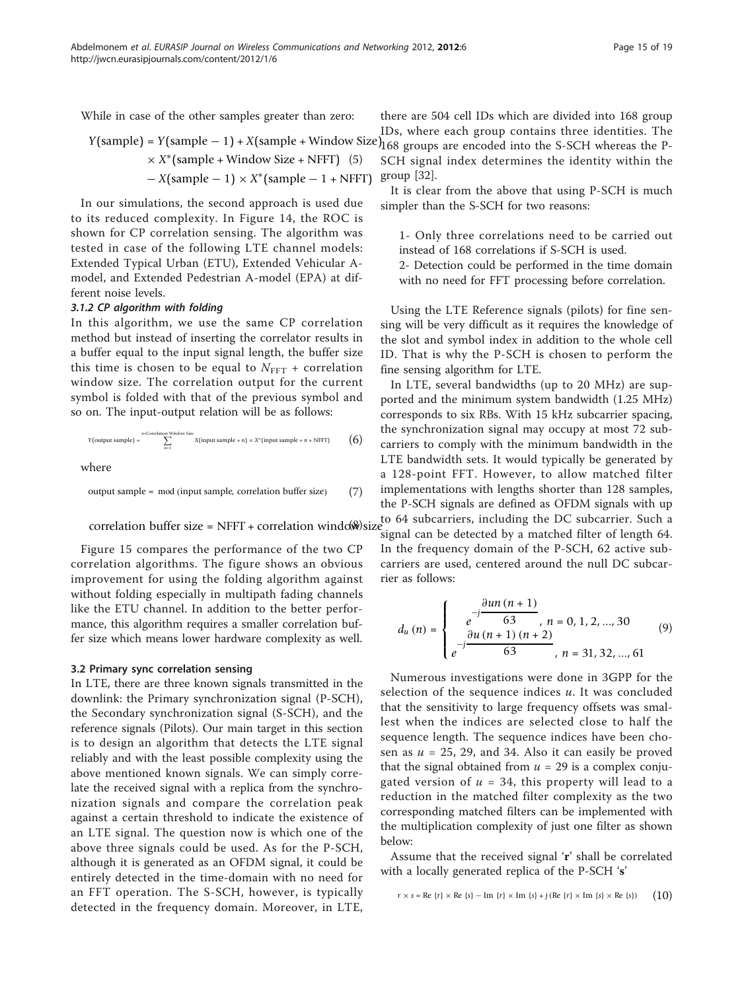While in case of the other samples greater than zero:

$$
Y(\text{sample}) = Y(\text{sample} - 1) + X(\text{sample} + \text{Window Size})_{16}
$$

$$
\times X^*(\text{sample} + \text{Window Size} + \text{NFFT})
$$
(5) SC
$$
- X(\text{sample} - 1) \times X^*(\text{sample} - 1 + \text{NFFT})
$$

In our simulations, the second approach is used due to its reduced complexity. In Figure [14](#page-13-0), the ROC is shown for CP correlation sensing. The algorithm was tested in case of the following LTE channel models: Extended Typical Urban (ETU), Extended Vehicular Amodel, and Extended Pedestrian A-model (EPA) at different noise levels.

### 3.1.2 CP algorithm with folding

In this algorithm, we use the same CP correlation method but instead of inserting the correlator results in a buffer equal to the input signal length, the buffer size this time is chosen to be equal to  $N_{\text{FFT}}$  + correlation window size. The correlation output for the current symbol is folded with that of the previous symbol and so on. The input-output relation will be as follows:

$$
Y(\text{output sample}) = \sum_{n=1}^{n-\text{Correlation Window Size}} X(\text{input sample} + n) \times X^*(\text{input sample} + n + \text{NFFT}) \tag{6}
$$

where

output sample = mod (input sample, correlation buffer size) (7)

Figure [15](#page-13-0) compares the performance of the two CP correlation algorithms. The figure shows an obvious improvement for using the folding algorithm against without folding especially in multipath fading channels like the ETU channel. In addition to the better performance, this algorithm requires a smaller correlation buffer size which means lower hardware complexity as well.

### 3.2 Primary sync correlation sensing

In LTE, there are three known signals transmitted in the downlink: the Primary synchronization signal (P-SCH), the Secondary synchronization signal (S-SCH), and the reference signals (Pilots). Our main target in this section is to design an algorithm that detects the LTE signal reliably and with the least possible complexity using the above mentioned known signals. We can simply correlate the received signal with a replica from the synchronization signals and compare the correlation peak against a certain threshold to indicate the existence of an LTE signal. The question now is which one of the above three signals could be used. As for the P-SCH, although it is generated as an OFDM signal, it could be entirely detected in the time-domain with no need for an FFT operation. The S-SCH, however, is typically detected in the frequency domain. Moreover, in LTE, there are 504 cell IDs which are divided into 168 group IDs, where each group contains three identities. The

8 groups are encoded into the S-SCH whereas the P-SCH signal index determines the identity within the oup [\[32\]](#page-18-0).

It is clear from the above that using P-SCH is much simpler than the S-SCH for two reasons:

1- Only three correlations need to be carried out instead of 168 correlations if S-SCH is used. 2- Detection could be performed in the time domain with no need for FFT processing before correlation.

Using the LTE Reference signals (pilots) for fine sensing will be very difficult as it requires the knowledge of the slot and symbol index in addition to the whole cell ID. That is why the P-SCH is chosen to perform the fine sensing algorithm for LTE.

to 64 subcarriers, including the DC subcarrier. Such a<br>correlation buffer size = NFFT + correlation window)size In LTE, several bandwidths (up to 20 MHz) are supported and the minimum system bandwidth (1.25 MHz) corresponds to six RBs. With 15 kHz subcarrier spacing, the synchronization signal may occupy at most 72 subcarriers to comply with the minimum bandwidth in the LTE bandwidth sets. It would typically be generated by a 128-point FFT. However, to allow matched filter implementations with lengths shorter than 128 samples, the P-SCH signals are defined as OFDM signals with up signal can be detected by a matched filter of length 64. In the frequency domain of the P-SCH, 62 active sub-

carriers are used, centered around the null DC subcarrier as follows:

$$
d_u(n) = \begin{cases} e^{-j\frac{\partial u(n+1)}{63}}, & n = 0, 1, 2, ..., 30\\ e^{-j\frac{\partial u(n+1)(n+2)}{63}}, & n = 31, 32, ..., 61 \end{cases}
$$
(9)

Numerous investigations were done in 3GPP for the selection of the sequence indices  $u$ . It was concluded that the sensitivity to large frequency offsets was smallest when the indices are selected close to half the sequence length. The sequence indices have been chosen as  $u = 25$ , 29, and 34. Also it can easily be proved that the signal obtained from  $u = 29$  is a complex conjugated version of  $u = 34$ , this property will lead to a reduction in the matched filter complexity as the two corresponding matched filters can be implemented with the multiplication complexity of just one filter as shown below:

Assume that the received signal 'r' shall be correlated with a locally generated replica of the P-SCH 's'

$$
r \times s = \text{Re} \{r\} \times \text{Re} \{s\} - \text{Im} \{r\} \times \text{Im} \{s\} + j(\text{Re} \{r\} \times \text{Im} \{s\} \times \text{Re} \{s\}) \qquad (10)
$$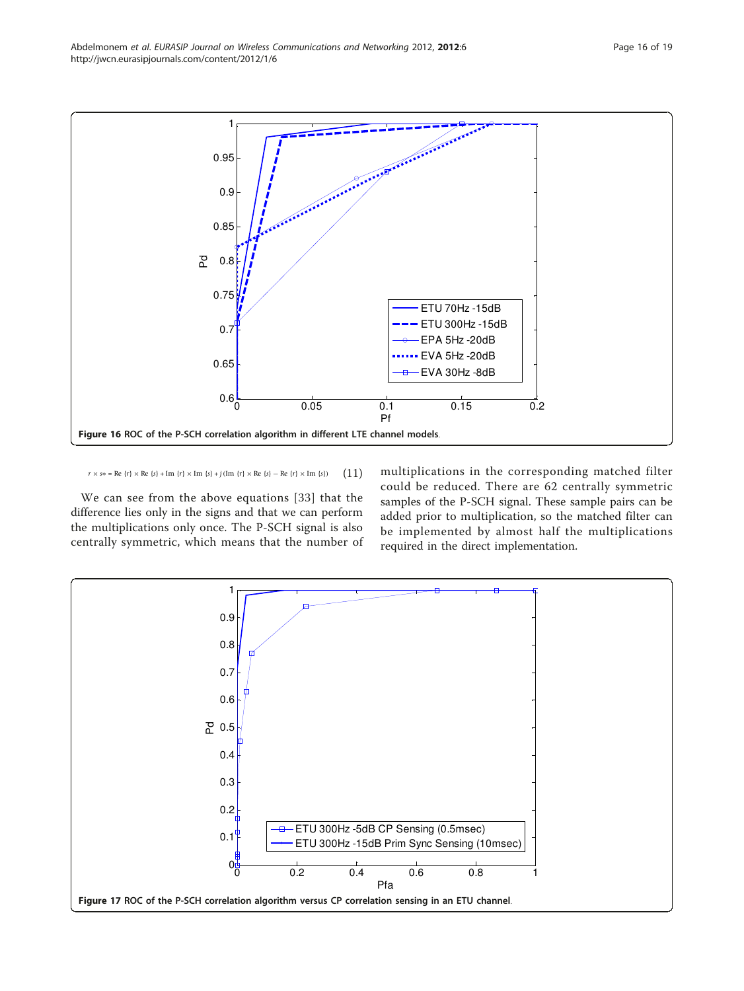<span id="page-15-0"></span>

*r* × *s* $*$  = Re {*r*} × Re {*s*} + Im {*r*} × Im {*s*} + *j*(Im {*r*} × Re {*s*} – Re {*r*} × Im {*s*}) (11)

We can see from the above equations [[33](#page-18-0)] that the difference lies only in the signs and that we can perform the multiplications only once. The P-SCH signal is also centrally symmetric, which means that the number of multiplications in the corresponding matched filter could be reduced. There are 62 centrally symmetric samples of the P-SCH signal. These sample pairs can be added prior to multiplication, so the matched filter can be implemented by almost half the multiplications required in the direct implementation.

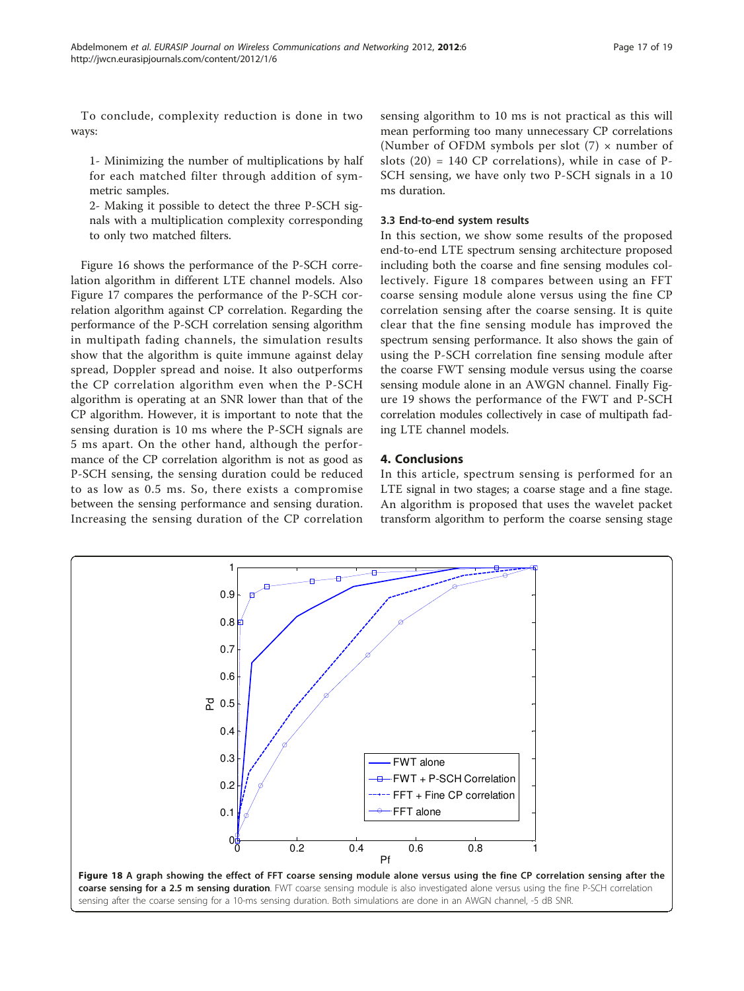To conclude, complexity reduction is done in two ways:

1- Minimizing the number of multiplications by half for each matched filter through addition of symmetric samples.

2- Making it possible to detect the three P-SCH signals with a multiplication complexity corresponding to only two matched filters.

Figure [16](#page-15-0) shows the performance of the P-SCH correlation algorithm in different LTE channel models. Also Figure [17](#page-15-0) compares the performance of the P-SCH correlation algorithm against CP correlation. Regarding the performance of the P-SCH correlation sensing algorithm in multipath fading channels, the simulation results show that the algorithm is quite immune against delay spread, Doppler spread and noise. It also outperforms the CP correlation algorithm even when the P-SCH algorithm is operating at an SNR lower than that of the CP algorithm. However, it is important to note that the sensing duration is 10 ms where the P-SCH signals are 5 ms apart. On the other hand, although the performance of the CP correlation algorithm is not as good as P-SCH sensing, the sensing duration could be reduced to as low as 0.5 ms. So, there exists a compromise between the sensing performance and sensing duration. Increasing the sensing duration of the CP correlation

sensing algorithm to 10 ms is not practical as this will mean performing too many unnecessary CP correlations (Number of OFDM symbols per slot  $(7)$   $\times$  number of slots  $(20) = 140$  CP correlations), while in case of P-SCH sensing, we have only two P-SCH signals in a 10 ms duration.

# 3.3 End-to-end system results

In this section, we show some results of the proposed end-to-end LTE spectrum sensing architecture proposed including both the coarse and fine sensing modules collectively. Figure 18 compares between using an FFT coarse sensing module alone versus using the fine CP correlation sensing after the coarse sensing. It is quite clear that the fine sensing module has improved the spectrum sensing performance. It also shows the gain of using the P-SCH correlation fine sensing module after the coarse FWT sensing module versus using the coarse sensing module alone in an AWGN channel. Finally Figure [19](#page-17-0) shows the performance of the FWT and P-SCH correlation modules collectively in case of multipath fading LTE channel models.

# 4. Conclusions

In this article, spectrum sensing is performed for an LTE signal in two stages; a coarse stage and a fine stage. An algorithm is proposed that uses the wavelet packet transform algorithm to perform the coarse sensing stage

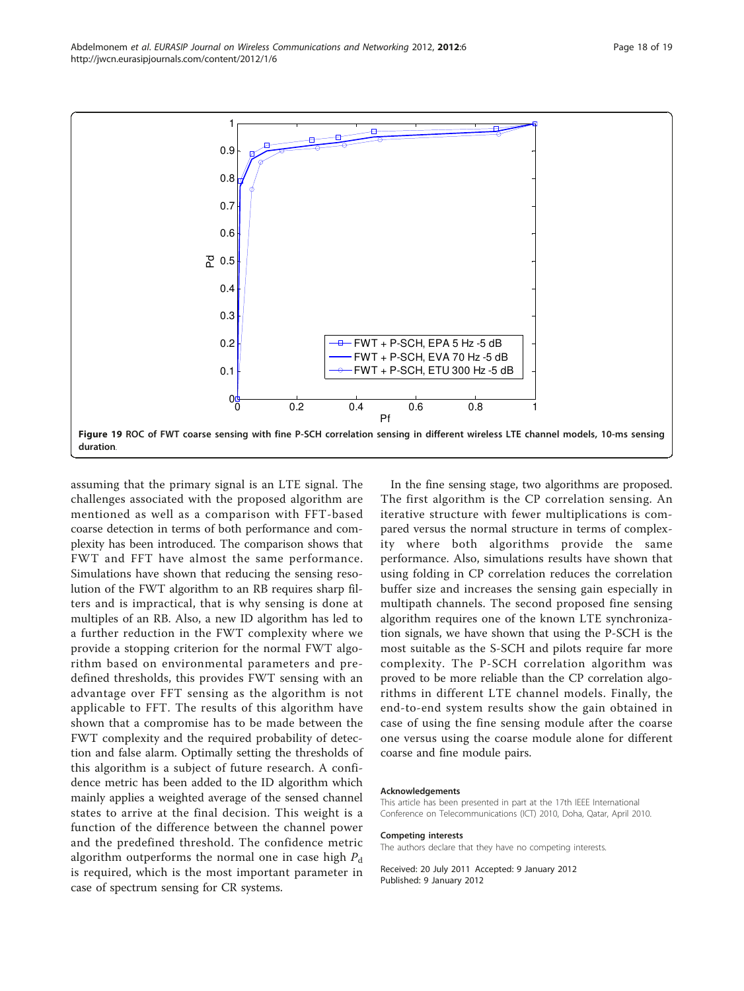<span id="page-17-0"></span>

assuming that the primary signal is an LTE signal. The challenges associated with the proposed algorithm are mentioned as well as a comparison with FFT-based coarse detection in terms of both performance and complexity has been introduced. The comparison shows that FWT and FFT have almost the same performance. Simulations have shown that reducing the sensing resolution of the FWT algorithm to an RB requires sharp filters and is impractical, that is why sensing is done at multiples of an RB. Also, a new ID algorithm has led to a further reduction in the FWT complexity where we provide a stopping criterion for the normal FWT algorithm based on environmental parameters and predefined thresholds, this provides FWT sensing with an advantage over FFT sensing as the algorithm is not applicable to FFT. The results of this algorithm have shown that a compromise has to be made between the FWT complexity and the required probability of detection and false alarm. Optimally setting the thresholds of this algorithm is a subject of future research. A confidence metric has been added to the ID algorithm which mainly applies a weighted average of the sensed channel states to arrive at the final decision. This weight is a function of the difference between the channel power and the predefined threshold. The confidence metric algorithm outperforms the normal one in case high  $P_d$ is required, which is the most important parameter in case of spectrum sensing for CR systems.

In the fine sensing stage, two algorithms are proposed. The first algorithm is the CP correlation sensing. An iterative structure with fewer multiplications is compared versus the normal structure in terms of complexity where both algorithms provide the same performance. Also, simulations results have shown that using folding in CP correlation reduces the correlation buffer size and increases the sensing gain especially in multipath channels. The second proposed fine sensing algorithm requires one of the known LTE synchronization signals, we have shown that using the P-SCH is the most suitable as the S-SCH and pilots require far more complexity. The P-SCH correlation algorithm was proved to be more reliable than the CP correlation algorithms in different LTE channel models. Finally, the end-to-end system results show the gain obtained in case of using the fine sensing module after the coarse one versus using the coarse module alone for different coarse and fine module pairs.

### Acknowledgements

This article has been presented in part at the 17th IEEE International Conference on Telecommunications (ICT) 2010, Doha, Qatar, April 2010.

### Competing interests

The authors declare that they have no competing interests.

Received: 20 July 2011 Accepted: 9 January 2012 Published: 9 January 2012